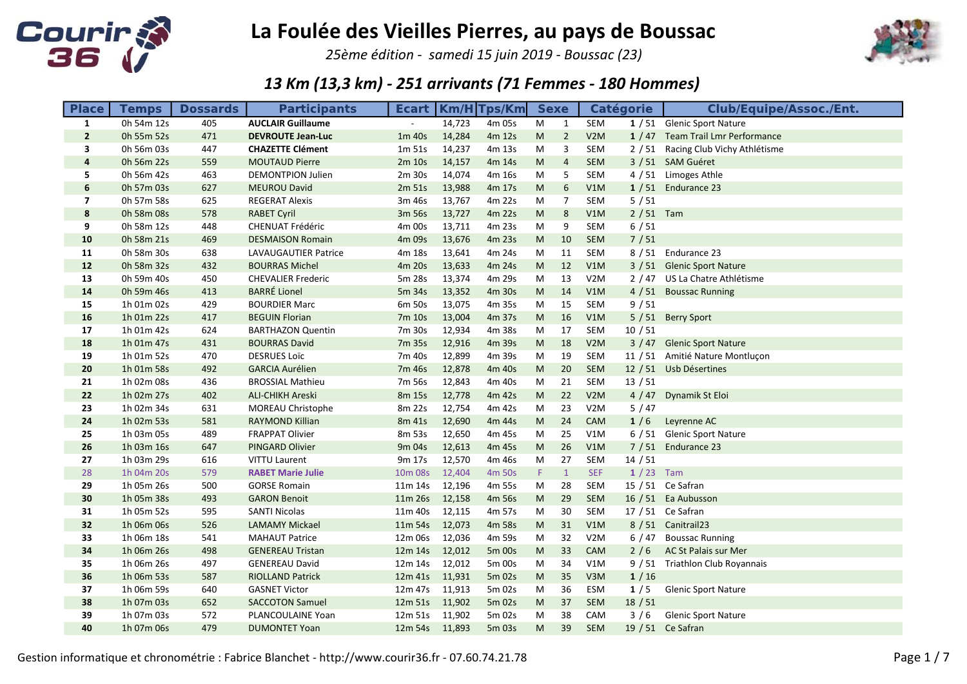

25ème édition - samedi 15 juin 2019 - Boussac (23)



| <b>Place</b>            | <b>Temps</b>             | <b>Dossards</b> | <b>Participants</b>                         |                           |        | <b>Ecart   Km/H Tps/Km </b> | <b>Sexe</b> |                |            | <b>Catégorie</b> | <b>Club/Equipe/Assoc./Ent.</b>      |
|-------------------------|--------------------------|-----------------|---------------------------------------------|---------------------------|--------|-----------------------------|-------------|----------------|------------|------------------|-------------------------------------|
| $\mathbf{1}$            | 0h 54m 12s               | 405             | <b>AUCLAIR Guillaume</b>                    |                           | 14,723 | 4m 05s                      | M           | 1              | SEM        |                  | 1 / 51 Glenic Sport Nature          |
| $\overline{2}$          | 0h 55m 52s               | 471             | <b>DEVROUTE Jean-Luc</b>                    | 1m 40s                    | 14,284 | 4m 12s                      | M           | $\overline{2}$ | V2M        |                  | 1 / 47 Team Trail Lmr Performance   |
| 3                       | 0h 56m 03s               | 447             | <b>CHAZETTE Clément</b>                     | 1m <sub>51s</sub>         | 14,237 | 4m 13s                      | M           | 3              | SEM        |                  | 2 / 51 Racing Club Vichy Athlétisme |
| $\overline{\mathbf{4}}$ | 0h 56m 22s               | 559             | <b>MOUTAUD Pierre</b>                       | 2m 10s                    | 14,157 | 4m 14s                      | M           | $\overline{4}$ | SEM        |                  | 3 / 51 SAM Guéret                   |
| 5                       | 0h 56m 42s               | 463             | <b>DEMONTPION Julien</b>                    | 2m 30s                    | 14,074 | 4m 16s                      | M           | 5              | SEM        |                  | 4 / 51 Limoges Athle                |
| 6                       | 0h 57m 03s               | 627             | <b>MEUROU David</b>                         | 2m 51s                    | 13,988 | 4m 17s                      | M           | 6              | V1M        |                  | $1/51$ Endurance 23                 |
| $\overline{\mathbf{z}}$ | 0h 57m 58s               | 625             | <b>REGERAT Alexis</b>                       | 3m 46s                    | 13,767 | 4m 22s                      | M           | 7              | SEM        | 5/51             |                                     |
| 8                       | 0h 58m 08s               | 578             | <b>RABET Cyril</b>                          | 3m 56s                    | 13,727 | 4m 22s                      | M           | 8              | V1M        | $2/51$ Tam       |                                     |
| 9                       | 0h 58m 12s               | 448             | CHENUAT Frédéric                            | 4m 00s                    | 13,711 | 4m 23s                      | M           | 9              | SEM        | $6/51$           |                                     |
| 10                      | 0h 58m 21s               | 469             | <b>DESMAISON Romain</b>                     | 4m 09s                    | 13,676 | 4m 23s                      | M           | 10             | SEM        | 7/51             |                                     |
| 11                      | 0h 58m 30s               | 638             | LAVAUGAUTIER Patrice                        | 4m 18s                    | 13,641 | 4m 24s                      | M           | 11             | SEM        |                  | 8 / 51 Endurance 23                 |
| 12                      | 0h 58m 32s               | 432             | <b>BOURRAS Michel</b>                       | 4m 20s                    | 13,633 | 4m 24s                      | M           | 12             | V1M        |                  | 3 / 51 Glenic Sport Nature          |
| 13                      | 0h 59m 40s               | 450             | <b>CHEVALIER Frederic</b>                   | 5m 28s                    | 13,374 | 4m 29s                      | M           | 13             | V2M        |                  | 2 / 47 US La Chatre Athlétisme      |
| 14                      | 0h 59m 46s               | 413             | <b>BARRÉ</b> Lionel                         | 5m 34s                    | 13,352 | 4m 30s                      | M           | 14             | V1M        |                  | 4 / 51 Boussac Running              |
| 15                      | 1h 01m 02s               | 429             | <b>BOURDIER Marc</b>                        | 6m 50s                    | 13,075 | 4m 35s                      | M           | 15             | SEM        | 9/51             |                                     |
| 16                      | 1h 01m 22s               | 417             | <b>BEGUIN Florian</b>                       | 7m 10s                    | 13,004 | 4m 37s                      | ${\sf M}$   | 16             | V1M        |                  | 5 / 51 Berry Sport                  |
| 17                      | 1h 01m 42s               | 624             | <b>BARTHAZON Quentin</b>                    | 7m 30s                    | 12,934 | 4m 38s                      | M           | 17             | SEM        | 10/51            |                                     |
| 18                      | 1h 01m 47s               | 431             | <b>BOURRAS David</b>                        | 7m 35s                    | 12,916 | 4m 39s                      | M           | 18             | V2M        |                  | 3 / 47 Glenic Sport Nature          |
| 19                      | 1h 01m 52s               | 470             | <b>DESRUES Loïc</b>                         | 7m 40s                    | 12,899 | 4m 39s                      | M           | 19             | SEM        |                  | 11 / 51 Amitié Nature Montluçon     |
| 20                      | 1h 01m 58s               | 492             | <b>GARCIA Aurélien</b>                      | 7m 46s                    | 12,878 | 4m 40s                      | M           | 20             | <b>SEM</b> |                  | 12 / 51 Usb Désertines              |
| 21                      | 1h 02m 08s               | 436             | <b>BROSSIAL Mathieu</b>                     | 7m 56s                    | 12,843 | 4m 40s                      | M           | 21             | <b>SEM</b> | 13/51            |                                     |
| 22                      | 1h 02m 27s               | 402             | <b>ALI-CHIKH Areski</b>                     | 8m 15s                    | 12,778 | 4m 42s                      | M           | 22             | V2M        |                  | 4 / 47 Dynamik St Eloi              |
| 23                      | 1h 02m 34s               | 631             | MOREAU Christophe                           | 8m 22s                    | 12,754 | 4m 42s                      | M           | 23             | V2M        | 5/47             |                                     |
| 24                      | 1h 02m 53s               | 581             | <b>RAYMOND Killian</b>                      | 8m 41s                    | 12,690 | 4m 44s                      | M           | 24             | CAM        | 1/6              | Leyrenne AC                         |
| 25                      | 1h 03m 05s               | 489             | <b>FRAPPAT Olivier</b>                      | 8m 53s                    | 12,650 | 4m 45s                      | M           | 25             | V1M        |                  | 6 / 51 Glenic Sport Nature          |
| 26                      | 1h 03m 16s               | 647             | <b>PINGARD Olivier</b>                      | 9m 04s                    | 12,613 | 4m 45s                      | M           | 26             | V1M        |                  | 7 / 51 Endurance 23                 |
| 27                      | 1h 03m 29s               | 616             | VITTU Laurent                               | 9m 17s                    | 12,570 | 4m 46s                      | M           | 27             | SEM        | 14/51            |                                     |
| 28                      | 1h 04m 20s               | 579             | <b>RABET Marie Julie</b>                    | 10 <sub>m</sub> 08s       | 12,404 | 4m 50s                      | F.          | $\mathbf{1}$   | <b>SEF</b> | $1/23$ Tam       |                                     |
| 29                      | 1h 05m 26s               | 500             | <b>GORSE Romain</b>                         | 11m 14s                   | 12,196 | 4m 55s                      | M           | 28             | <b>SEM</b> |                  | 15 / 51 Ce Safran                   |
| 30                      | 1h 05m 38s               | 493             | <b>GARON Benoit</b>                         | 11m 26s                   | 12,158 | 4m 56s                      | M           | 29             | SEM        |                  | 16 / 51 Ea Aubusson                 |
| 31                      | 1h 05m 52s               | 595             | <b>SANTI Nicolas</b>                        | 11m 40s                   | 12,115 | 4m 57s                      | M           | 30             | SEM        |                  | $17/51$ Ce Safran                   |
| 32                      | 1h 06m 06s               | 526             | <b>LAMAMY Mickael</b>                       | 11m 54s                   | 12,073 | 4m 58s                      | M           | 31             | V1M        |                  | 8 / 51 Canitrail23                  |
| 33                      | 1h 06m 18s               | 541             | <b>MAHAUT Patrice</b>                       | 12m 06s                   | 12,036 | 4m 59s                      | M           | 32             | V2M        |                  | 6 / 47 Boussac Running              |
| 34                      | 1h 06m 26s               | 498             | <b>GENEREAU Tristan</b>                     | 12m 14s                   | 12,012 | 5m 00s                      | M           | 33             | CAM        | 2/6              | AC St Palais sur Mer                |
| 35<br>36                | 1h 06m 26s               | 497             | <b>GENEREAU David</b>                       | 12m 14s                   | 12,012 | 5m 00s                      | M           | 34             | V1M<br>V3M |                  | 9 / 51 Triathlon Club Royannais     |
|                         | 1h 06m 53s               | 587             | <b>RIOLLAND Patrick</b>                     | 12m 41s                   | 11,931 | 5m 02s                      | M           | 35             |            | 1/16             |                                     |
| 37<br>38                | 1h 06m 59s               | 640<br>652      | <b>GASNET Victor</b>                        | 12m 47s<br>12m 51s 11,902 | 11,913 | 5m 02s                      | M           | 36<br>37       | ESM<br>SEM | 1/5<br>18/51     | <b>Glenic Sport Nature</b>          |
| 39                      | 1h 07m 03s<br>1h 07m 03s | 572             | <b>SACCOTON Samuel</b><br>PLANCOULAINE Yoan | 12m 51s 11,902            |        | 5m 02s<br>5m 02s            | M<br>M      | 38             | CAM        | 3/6              | <b>Glenic Sport Nature</b>          |
| 40                      |                          | 479             | <b>DUMONTET Yoan</b>                        |                           |        |                             | M           | 39             | <b>SEM</b> |                  | 19 / 51 Ce Safran                   |
|                         | 1h 07m 06s               |                 |                                             | 12m 54s 11,893            |        | 5m 03s                      |             |                |            |                  |                                     |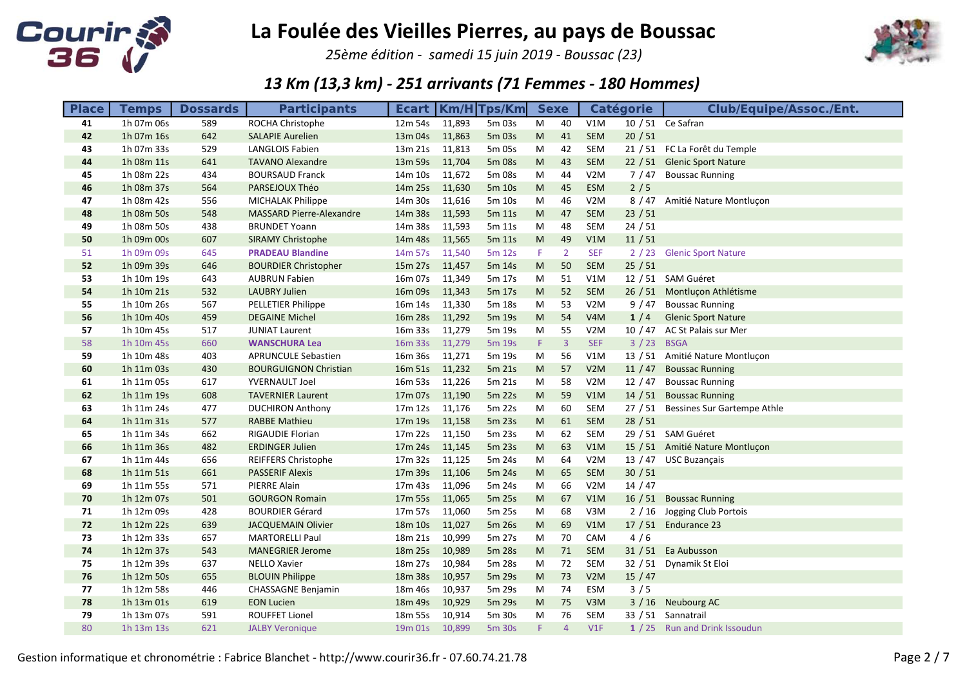

25ème édition - samedi 15 juin 2019 - Boussac (23)



| <b>Place</b> | <b>Temps</b> | <b>Dossards</b> | <b>Participants</b>          |                |        | <b>Ecart   Km/H   Tps/Km</b> | <b>Sexe</b> |                |                  | <b>Catégorie</b> | <b>Club/Equipe/Assoc./Ent.</b>      |
|--------------|--------------|-----------------|------------------------------|----------------|--------|------------------------------|-------------|----------------|------------------|------------------|-------------------------------------|
| 41           | 1h 07m 06s   | 589             | ROCHA Christophe             | 12m 54s 11,893 |        | 5m 03s                       | M           | 40             | V1M              |                  | 10 / 51 Ce Safran                   |
| 42           | 1h 07m 16s   | 642             | <b>SALAPIE Aurelien</b>      | 13m 04s        | 11,863 | 5m 03s                       | M           | 41             | SEM              | 20/51            |                                     |
| 43           | 1h 07m 33s   | 529             | <b>LANGLOIS Fabien</b>       | 13m 21s        | 11,813 | 5m 05s                       | M           | 42             | <b>SEM</b>       |                  | 21 / 51 FC La Forêt du Temple       |
| 44           | 1h 08m 11s   | 641             | <b>TAVANO Alexandre</b>      | 13m 59s 11,704 |        | 5m 08s                       | M           | 43             | <b>SEM</b>       |                  | 22 / 51 Glenic Sport Nature         |
| 45           | 1h 08m 22s   | 434             | <b>BOURSAUD Franck</b>       | 14m 10s        | 11,672 | 5m 08s                       | M           | 44             | V2M              |                  | 7 / 47 Boussac Running              |
| 46           | 1h 08m 37s   | 564             | PARSEJOUX Théo               | 14m 25s 11,630 |        | 5m 10s                       | ${\sf M}$   | 45             | ESM              | $2/5$            |                                     |
| 47           | 1h 08m 42s   | 556             | <b>MICHALAK Philippe</b>     | 14m 30s        | 11,616 | 5m 10s                       | M           | 46             | V2M              |                  | 8 / 47 Amitié Nature Montluçon      |
| 48           | 1h 08m 50s   | 548             | MASSARD Pierre-Alexandre     | 14m 38s 11,593 |        | 5m 11s                       | M           | 47             | <b>SEM</b>       | 23/51            |                                     |
| 49           | 1h 08m 50s   | 438             | <b>BRUNDET Yoann</b>         | 14m 38s        | 11,593 | 5m 11s                       | M           | 48             | SEM              | 24/51            |                                     |
| 50           | 1h 09m 00s   | 607             | <b>SIRAMY Christophe</b>     | 14m 48s 11,565 |        | 5m 11s                       | M           | 49             | V1M              | 11/51            |                                     |
| 51           | 1h 09m 09s   | 645             | <b>PRADEAU Blandine</b>      | 14m 57s 11,540 |        | 5m 12s                       | F.          | 2              | <b>SEF</b>       |                  | 2 / 23 Glenic Sport Nature          |
| 52           | 1h 09m 39s   | 646             | <b>BOURDIER Christopher</b>  | 15m 27s 11,457 |        | 5m 14s                       | M           | 50             | <b>SEM</b>       | 25/51            |                                     |
| 53           | 1h 10m 19s   | 643             | <b>AUBRUN Fabien</b>         | 16m 07s        | 11,349 | 5m 17s                       | M           | 51             | V1M              |                  | 12 / 51 SAM Guéret                  |
| 54           | 1h 10m 21s   | 532             | <b>LAUBRY Julien</b>         | 16m 09s 11,343 |        | 5m 17s                       | ${\sf M}$   | 52             | <b>SEM</b>       |                  | 26 / 51 Montluçon Athlétisme        |
| 55           | 1h 10m 26s   | 567             | PELLETIER Philippe           | 16m 14s 11,330 |        | 5m 18s                       | M           | 53             | V2M              |                  | 9 / 47 Boussac Running              |
| 56           | 1h 10m 40s   | 459             | <b>DEGAINE Michel</b>        | 16m 28s 11,292 |        | 5m 19s                       | M           | 54             | V <sub>4</sub> M | 1/4              | <b>Glenic Sport Nature</b>          |
| 57           | 1h 10m 45s   | 517             | <b>JUNIAT Laurent</b>        | 16m 33s 11,279 |        | 5m 19s                       | M           | 55             | V2M              |                  | 10 / 47 AC St Palais sur Mer        |
| 58           | 1h 10m 45s   | 660             | <b>WANSCHURA Lea</b>         | 16m 33s        | 11,279 | 5m 19s                       | F.          | $\overline{3}$ | <b>SEF</b>       | 3 / 23 BSGA      |                                     |
| 59           | 1h 10m 48s   | 403             | <b>APRUNCULE Sebastien</b>   | 16m 36s        | 11,271 | 5m 19s                       | M           | 56             | V1M              |                  | 13 / 51 Amitié Nature Montluçon     |
| 60           | 1h 11m 03s   | 430             | <b>BOURGUIGNON Christian</b> | 16m 51s 11,232 |        | 5m 21s                       | M           | 57             | V2M              |                  | 11 / 47 Boussac Running             |
| 61           | 1h 11m 05s   | 617             | YVERNAULT Joel               | 16m 53s 11,226 |        | 5m 21s                       | M           | 58             | V2M              |                  | 12 / 47 Boussac Running             |
| 62           | 1h 11m 19s   | 608             | <b>TAVERNIER Laurent</b>     | 17m 07s 11,190 |        | 5m 22s                       | M           | 59             | V1M              |                  | 14 / 51 Boussac Running             |
| 63           | 1h 11m 24s   | 477             | <b>DUCHIRON Anthony</b>      | 17m 12s 11,176 |        | 5m 22s                       | M           | 60             | SEM              |                  | 27 / 51 Bessines Sur Gartempe Athle |
| 64           | 1h 11m 31s   | 577             | <b>RABBE Mathieu</b>         | 17m 19s 11,158 |        | 5m 23s                       | M           | 61             | <b>SEM</b>       | 28/51            |                                     |
| 65           | 1h 11m 34s   | 662             | RIGAUDIE Florian             | 17m 22s 11,150 |        | 5m 23s                       | M           | 62             | SEM              |                  | 29 / 51 SAM Guéret                  |
| 66           | 1h 11m 36s   | 482             | <b>ERDINGER Julien</b>       | 17m 24s 11,145 |        | 5m 23s                       | M           | 63             | V1M              |                  | 15 / 51 Amitié Nature Montluçon     |
| 67           | 1h 11m 44s   | 656             | <b>REIFFERS Christophe</b>   | 17m 32s 11,125 |        | 5m 24s                       | M           | 64             | V2M              |                  | 13 / 47 USC Buzançais               |
| 68           | 1h 11m 51s   | 661             | <b>PASSERIF Alexis</b>       | 17m 39s        | 11,106 | 5m 24s                       | M           | 65             | <b>SEM</b>       | 30 / 51          |                                     |
| 69           | 1h 11m 55s   | 571             | PIERRE Alain                 | 17m 43s        | 11,096 | 5m 24s                       | M           | 66             | V2M              | 14/47            |                                     |
| 70           | 1h 12m 07s   | 501             | <b>GOURGON Romain</b>        | 17m 55s 11,065 |        | 5m 25s                       | M           | 67             | V1M              |                  | 16 / 51 Boussac Running             |
| 71           | 1h 12m 09s   | 428             | <b>BOURDIER Gérard</b>       | 17m 57s 11,060 |        | 5m 25s                       | M           | 68             | V3M              |                  | 2 / 16 Jogging Club Portois         |
| 72           | 1h 12m 22s   | 639             | <b>JACQUEMAIN Olivier</b>    | 18m 10s 11,027 |        | 5m 26s                       | ${\sf M}$   | 69             | V1M              |                  | 17 / 51 Endurance 23                |
| 73           | 1h 12m 33s   | 657             | <b>MARTORELLI Paul</b>       | 18m 21s 10,999 |        | 5m 27s                       | M           | 70             | CAM              | 4/6              |                                     |
| 74           | 1h 12m 37s   | 543             | <b>MANEGRIER Jerome</b>      | 18m 25s        | 10,989 | 5m 28s                       | M           | 71             | <b>SEM</b>       |                  | 31 / 51 Ea Aubusson                 |
| 75           | 1h 12m 39s   | 637             | <b>NELLO Xavier</b>          | 18m 27s        | 10,984 | 5m 28s                       | M           | 72             | SEM              |                  | 32 / 51 Dynamik St Eloi             |
| 76           | 1h 12m 50s   | 655             | <b>BLOUIN Philippe</b>       | 18m 38s        | 10,957 | 5m 29s                       | M           | 73             | V2M              | 15/47            |                                     |
| 77           | 1h 12m 58s   | 446             | <b>CHASSAGNE Benjamin</b>    | 18m 46s        | 10,937 | 5m 29s                       | M           | 74             | <b>ESM</b>       | 3/5              |                                     |
| 78           | 1h 13m 01s   | 619             | <b>EON Lucien</b>            | 18m 49s        | 10,929 | 5m 29s                       | M           | 75             | V3M              |                  | 3 / 16 Neubourg AC                  |
| 79           | 1h 13m 07s   | 591             | <b>ROUFFET Lionel</b>        | 18m 55s        | 10,914 | 5m 30s                       | M           | 76             | SEM              |                  | 33 / 51 Sannatrail                  |
| 80           | 1h 13m 13s   | 621             | <b>JALBY Veronique</b>       | 19m 01s 10,899 |        | 5m 30s                       | F.          | $\overline{4}$ | V1F              |                  | 1 / 25 Run and Drink Issoudun       |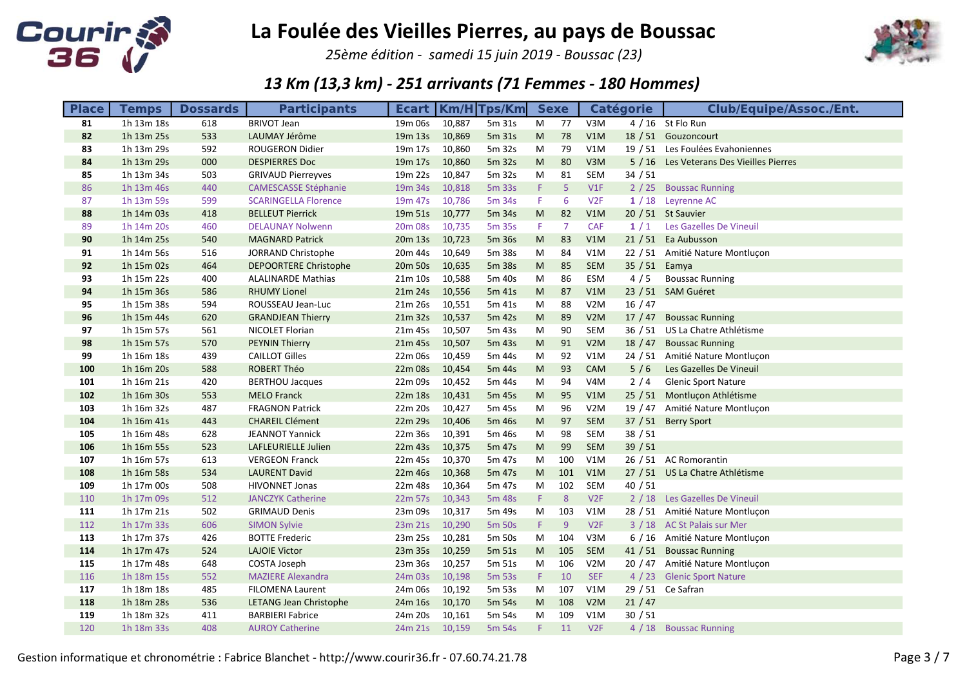

25ème édition - samedi 15 juin 2019 - Boussac (23)



| <b>Place</b> | <b>Temps</b> | <b>Dossards</b> | <b>Participants</b>          |                     |        | <b>Ecart   Km/H Tps/Km</b> |           | <b>Sexe</b>    |                  | <b>Catégorie</b> | Club/Equipe/Assoc./Ent.                  |
|--------------|--------------|-----------------|------------------------------|---------------------|--------|----------------------------|-----------|----------------|------------------|------------------|------------------------------------------|
| 81           | 1h 13m 18s   | 618             | <b>BRIVOT Jean</b>           | 19m 06s             | 10,887 | 5m 31s                     | M         | 77             | V3M              |                  | 4 / 16 St Flo Run                        |
| 82           | 1h 13m 25s   | 533             | LAUMAY Jérôme                | 19 <sub>m</sub> 13s | 10,869 | 5m 31s                     | M         | 78             | V1M              |                  | 18 / 51 Gouzoncourt                      |
| 83           | 1h 13m 29s   | 592             | <b>ROUGERON Didier</b>       | 19m 17s             | 10,860 | 5m 32s                     | M         | 79             | V1M              |                  | 19 / 51 Les Foulées Evahoniennes         |
| 84           | 1h 13m 29s   | 000             | <b>DESPIERRES Doc</b>        | 19m 17s             | 10,860 | 5m 32s                     | M         | 80             | V3M              |                  | 5 / 16 Les Veterans Des Vieilles Pierres |
| 85           | 1h 13m 34s   | 503             | <b>GRIVAUD Pierreyves</b>    | 19m 22s             | 10,847 | 5m 32s                     | M         | 81             | SEM              | 34 / 51          |                                          |
| 86           | 1h 13m 46s   | 440             | <b>CAMESCASSE Stéphanie</b>  | 19m 34s             | 10,818 | 5m 33s                     | F.        | 5              | V1F              |                  | 2 / 25 Boussac Running                   |
| 87           | 1h 13m 59s   | 599             | <b>SCARINGELLA Florence</b>  | 19 <sub>m</sub> 47s | 10,786 | 5m 34s                     | F.        | 6              | V2F              |                  | 1 / 18 Leyrenne AC                       |
| 88           | 1h 14m 03s   | 418             | <b>BELLEUT Pierrick</b>      | 19m 51s             | 10,777 | 5m 34s                     | M         | 82             | V1M              |                  | 20 / 51 St Sauvier                       |
| 89           | 1h 14m 20s   | 460             | <b>DELAUNAY Nolwenn</b>      | 20 <sub>m</sub> 08s | 10,735 | 5m 35s                     | F.        | $\overline{7}$ | <b>CAF</b>       | 1/1              | Les Gazelles De Vineuil                  |
| 90           | 1h 14m 25s   | 540             | <b>MAGNARD Patrick</b>       | 20m 13s             | 10,723 | 5m 36s                     | M         | 83             | V1M              |                  | 21 / 51 Ea Aubusson                      |
| 91           | 1h 14m 56s   | 516             | JORRAND Christophe           | 20m 44s             | 10,649 | 5m 38s                     | M         | 84             | V1M              |                  | 22 / 51 Amitié Nature Montluçon          |
| 92           | 1h 15m 02s   | 464             | <b>DEPOORTERE Christophe</b> | 20 <sub>m</sub> 50s | 10,635 | 5m 38s                     | M         | 85             | SEM              | 35/51            | Eamya                                    |
| 93           | 1h 15m 22s   | 400             | <b>ALALINARDE Mathias</b>    | 21m 10s             | 10,588 | 5m 40s                     | M         | 86             | ESM              | 4/5              | <b>Boussac Running</b>                   |
| 94           | 1h 15m 36s   | 586             | <b>RHUMY Lionel</b>          | 21m 24s             | 10,556 | 5m 41s                     | M         | 87             | V1M              |                  | 23 / 51 SAM Guéret                       |
| 95           | 1h 15m 38s   | 594             | ROUSSEAU Jean-Luc            | 21m 26s             | 10,551 | 5m 41s                     | M         | 88             | V <sub>2</sub> M | 16/47            |                                          |
| 96           | 1h 15m 44s   | 620             | <b>GRANDJEAN Thierry</b>     | 21m 32s             | 10,537 | 5m 42s                     | ${\sf M}$ | 89             | V2M              | 17/47            | <b>Boussac Running</b>                   |
| 97           | 1h 15m 57s   | 561             | NICOLET Florian              | 21m 45s             | 10,507 | 5m 43s                     | M         | 90             | SEM              |                  | 36 / 51 US La Chatre Athlétisme          |
| 98           | 1h 15m 57s   | 570             | <b>PEYNIN Thierry</b>        | 21m 45s             | 10,507 | 5m 43s                     | M         | 91             | V2M              | 18 / 47          | <b>Boussac Running</b>                   |
| 99           | 1h 16m 18s   | 439             | <b>CAILLOT Gilles</b>        | 22m 06s             | 10,459 | 5m 44s                     | M         | 92             | V1M              |                  | 24 / 51 Amitié Nature Montluçon          |
| 100          | 1h 16m 20s   | 588             | <b>ROBERT Théo</b>           | 22m 08s             | 10,454 | 5m 44s                     | M         | 93             | <b>CAM</b>       | 5/6              | Les Gazelles De Vineuil                  |
| 101          | 1h 16m 21s   | 420             | <b>BERTHOU Jacques</b>       | 22m 09s             | 10,452 | 5m 44s                     | M         | 94             | V <sub>4</sub> M | 2/4              | <b>Glenic Sport Nature</b>               |
| 102          | 1h 16m 30s   | 553             | <b>MELO Franck</b>           | 22m 18s             | 10,431 | 5m 45s                     | M         | 95             | V1M              |                  | 25 / 51 Montluçon Athlétisme             |
| 103          | 1h 16m 32s   | 487             | <b>FRAGNON Patrick</b>       | 22m 20s             | 10,427 | 5m 45s                     | M         | 96             | V2M              |                  | 19 / 47 Amitié Nature Montluçon          |
| 104          | 1h 16m 41s   | 443             | <b>CHAREIL Clément</b>       | 22m 29s             | 10,406 | 5m 46s                     | M         | 97             | <b>SEM</b>       |                  | 37 / 51 Berry Sport                      |
| 105          | 1h 16m 48s   | 628             | <b>JEANNOT Yannick</b>       | 22m 36s             | 10,391 | 5m 46s                     | M         | 98             | <b>SEM</b>       | 38/51            |                                          |
| 106          | 1h 16m 55s   | 523             | LAFLEURIELLE Julien          | 22m 43s             | 10,375 | 5m 47s                     | M         | 99             | <b>SEM</b>       | 39/51            |                                          |
| 107          | 1h 16m 57s   | 613             | <b>VERGEON Franck</b>        | 22m 45s             | 10,370 | 5m 47s                     | M         | 100            | V1M              |                  | 26 / 51 AC Romorantin                    |
| 108          | 1h 16m 58s   | 534             | <b>LAURENT David</b>         | 22m 46s             | 10,368 | 5m 47s                     | M         | 101            | V1M              |                  | 27 / 51 US La Chatre Athlétisme          |
| 109          | 1h 17m 00s   | 508             | <b>HIVONNET Jonas</b>        | 22m 48s             | 10,364 | 5m 47s                     | M         | 102            | SEM              | 40/51            |                                          |
| 110          | 1h 17m 09s   | 512             | <b>JANCZYK Catherine</b>     | 22m 57s             | 10,343 | 5m 48s                     | F.        | 8              | V2F              |                  | 2 / 18 Les Gazelles De Vineuil           |
| 111          | 1h 17m 21s   | 502             | <b>GRIMAUD Denis</b>         | 23m 09s             | 10,317 | 5m 49s                     | M         | 103            | V1M              |                  | 28 / 51 Amitié Nature Montluçon          |
| 112          | 1h 17m 33s   | 606             | <b>SIMON Sylvie</b>          | 23m 21s             | 10,290 | 5m 50s                     | F.        | 9              | V2F              |                  | 3 / 18 AC St Palais sur Mer              |
| 113          | 1h 17m 37s   | 426             | <b>BOTTE Frederic</b>        | 23m 25s             | 10,281 | 5m 50s                     | M         | 104            | V3M              |                  | 6 / 16 Amitié Nature Montlucon           |
| 114          | 1h 17m 47s   | 524             | <b>LAJOIE Victor</b>         | 23m 35s             | 10,259 | 5m 51s                     | M         | 105            | <b>SEM</b>       |                  | 41 / 51 Boussac Running                  |
| 115          | 1h 17m 48s   | 648             | COSTA Joseph                 | 23m 36s             | 10,257 | 5m 51s                     | M         | 106            | V <sub>2</sub> M |                  | 20 / 47 Amitié Nature Montluçon          |
| 116          | 1h 18m 15s   | 552             | <b>MAZIERE Alexandra</b>     | 24m 03s             | 10,198 | 5m 53s                     | F.        | 10             | <b>SEF</b>       |                  | 4 / 23 Glenic Sport Nature               |
| 117          | 1h 18m 18s   | 485             | <b>FILOMENA Laurent</b>      | 24m 06s             | 10,192 | 5m 53s                     | M         | 107            | V1M              |                  | 29 / 51 Ce Safran                        |
| 118          | 1h 18m 28s   | 536             | LETANG Jean Christophe       | 24m 16s             | 10,170 | 5m 54s                     | M         | 108            | V2M              | 21/47            |                                          |
| 119          | 1h 18m 32s   | 411             | <b>BARBIERI Fabrice</b>      | 24m 20s             | 10,161 | 5m 54s                     | M         | 109            | V1M              | 30/51            |                                          |
| 120          | 1h 18m 33s   | 408             | <b>AUROY Catherine</b>       | 24m 21s 10,159      |        | 5m 54s                     | F.        | 11             | V2F              |                  | 4 / 18 Boussac Running                   |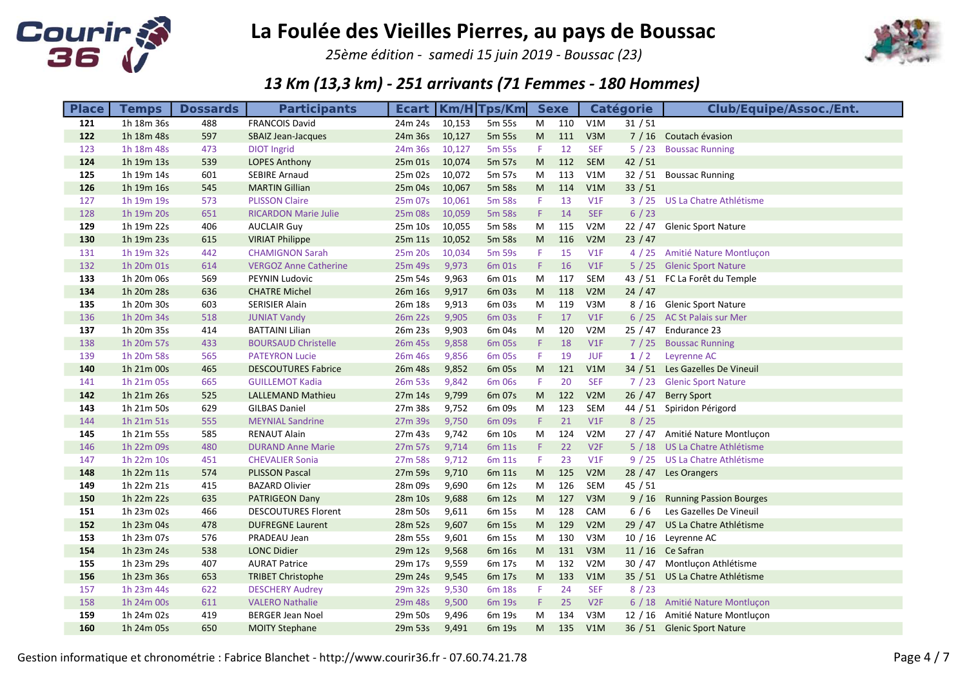

25ème édition - samedi 15 juin 2019 - Boussac (23)



| <b>Place</b> | <b>Temps</b> | <b>Dossards</b> | <b>Participants</b>          |         | <b>Ecart   Km/H Tps/Km</b> |        |                                                                                                            | <b>Sexe</b> |                  | <b>Catégorie</b> | <b>Club/Equipe/Assoc./Ent.</b>  |
|--------------|--------------|-----------------|------------------------------|---------|----------------------------|--------|------------------------------------------------------------------------------------------------------------|-------------|------------------|------------------|---------------------------------|
| 121          | 1h 18m 36s   | 488             | <b>FRANCOIS David</b>        | 24m 24s | 10,153                     | 5m 55s | M                                                                                                          | 110         | V1M              | 31/51            |                                 |
| 122          | 1h 18m 48s   | 597             | <b>SBAIZ Jean-Jacques</b>    | 24m 36s | 10,127                     | 5m 55s | M                                                                                                          | 111         | V3M              |                  | 7 / 16 Coutach évasion          |
| 123          | 1h 18m 48s   | 473             | <b>DIOT Ingrid</b>           | 24m 36s | 10,127                     | 5m 55s | F.                                                                                                         | 12          | <b>SEF</b>       | 5/23             | <b>Boussac Running</b>          |
| 124          | 1h 19m 13s   | 539             | <b>LOPES Anthony</b>         | 25m 01s | 10,074                     | 5m 57s | $\mathsf{M}% _{T}=\mathsf{M}_{T}\!\left( a,b\right) ,\ \mathsf{M}_{T}=\mathsf{M}_{T}\!\left( a,b\right) ,$ | 112         | <b>SEM</b>       | 42/51            |                                 |
| 125          | 1h 19m 14s   | 601             | <b>SEBIRE Arnaud</b>         | 25m 02s | 10,072                     | 5m 57s | M                                                                                                          | 113         | V1M              | 32/51            | <b>Boussac Running</b>          |
| 126          | 1h 19m 16s   | 545             | <b>MARTIN Gillian</b>        | 25m 04s | 10,067                     | 5m 58s | $\mathsf{M}% _{T}=\mathsf{M}_{T}\!\left( a,b\right) ,\ \mathsf{M}_{T}=\mathsf{M}_{T}\!\left( a,b\right) ,$ | 114         | V1M              | 33 / 51          |                                 |
| 127          | 1h 19m 19s   | 573             | <b>PLISSON Claire</b>        | 25m 07s | 10,061                     | 5m 58s | F.                                                                                                         | 13          | V1F              |                  | 3 / 25 US La Chatre Athlétisme  |
| 128          | 1h 19m 20s   | 651             | <b>RICARDON Marie Julie</b>  | 25m 08s | 10,059                     | 5m 58s | F.                                                                                                         | 14          | <b>SEF</b>       | $6/23$           |                                 |
| 129          | 1h 19m 22s   | 406             | <b>AUCLAIR Guy</b>           | 25m 10s | 10,055                     | 5m 58s | M                                                                                                          | 115         | V <sub>2</sub> M |                  | 22 / 47 Glenic Sport Nature     |
| 130          | 1h 19m 23s   | 615             | <b>VIRIAT Philippe</b>       | 25m 11s | 10,052                     | 5m 58s | $\mathsf{M}% _{T}=\mathsf{M}_{T}\!\left( a,b\right) ,\ \mathsf{M}_{T}=\mathsf{M}_{T}\!\left( a,b\right) ,$ | 116         | V2M              | 23/47            |                                 |
| 131          | 1h 19m 32s   | 442             | <b>CHAMIGNON Sarah</b>       | 25m 20s | 10,034                     | 5m 59s | F.                                                                                                         | 15          | V1F              |                  | 4 / 25 Amitié Nature Montluçon  |
| 132          | 1h 20m 01s   | 614             | <b>VERGOZ Anne Catherine</b> | 25m 49s | 9,973                      | 6m 01s | F.                                                                                                         | 16          | V1F              |                  | 5 / 25 Glenic Sport Nature      |
| 133          | 1h 20m 06s   | 569             | PEYNIN Ludovic               | 25m 54s | 9,963                      | 6m 01s | M                                                                                                          | 117         | SEM              |                  | 43 / 51 FC La Forêt du Temple   |
| 134          | 1h 20m 28s   | 636             | <b>CHATRE Michel</b>         | 26m 16s | 9,917                      | 6m 03s | ${\sf M}$                                                                                                  | 118         | V2M              | 24/47            |                                 |
| 135          | 1h 20m 30s   | 603             | <b>SERISIER Alain</b>        | 26m 18s | 9,913                      | 6m 03s | M                                                                                                          | 119         | V3M              |                  | 8 / 16 Glenic Sport Nature      |
| 136          | 1h 20m 34s   | 518             | <b>JUNIAT Vandy</b>          | 26m 22s | 9,905                      | 6m 03s | F.                                                                                                         | 17          | V1F              |                  | 6 / 25 AC St Palais sur Mer     |
| 137          | 1h 20m 35s   | 414             | <b>BATTAINI Lilian</b>       | 26m 23s | 9,903                      | 6m 04s | M                                                                                                          | 120         | V <sub>2</sub> M |                  | 25 / 47 Endurance 23            |
| 138          | 1h 20m 57s   | 433             | <b>BOURSAUD Christelle</b>   | 26m 45s | 9,858                      | 6m 05s | F.                                                                                                         | 18          | V1F              |                  | 7 / 25 Boussac Running          |
| 139          | 1h 20m 58s   | 565             | <b>PATEYRON Lucie</b>        | 26m 46s | 9,856                      | 6m 05s | F.                                                                                                         | 19          | <b>JUF</b>       | 1/2              | Leyrenne AC                     |
| 140          | 1h 21m 00s   | 465             | <b>DESCOUTURES Fabrice</b>   | 26m 48s | 9,852                      | 6m 05s | $\mathsf{M}% _{T}=\mathsf{M}_{T}\!\left( a,b\right) ,\ \mathsf{M}_{T}=\mathsf{M}_{T}\!\left( a,b\right) ,$ | 121         | V1M              |                  | 34 / 51 Les Gazelles De Vineuil |
| 141          | 1h 21m 05s   | 665             | <b>GUILLEMOT Kadia</b>       | 26m 53s | 9,842                      | 6m 06s | F.                                                                                                         | 20          | <b>SEF</b>       |                  | 7 / 23 Glenic Sport Nature      |
| 142          | 1h 21m 26s   | 525             | LALLEMAND Mathieu            | 27m 14s | 9,799                      | 6m 07s | $\mathsf{M}% _{T}=\mathsf{M}_{T}\!\left( a,b\right) ,\ \mathsf{M}_{T}=\mathsf{M}_{T}\!\left( a,b\right) ,$ | 122         | V2M              |                  | 26 / 47 Berry Sport             |
| 143          | 1h 21m 50s   | 629             | <b>GILBAS Daniel</b>         | 27m 38s | 9,752                      | 6m 09s | M                                                                                                          | 123         | <b>SEM</b>       |                  | 44 / 51 Spiridon Périgord       |
| 144          | 1h 21m 51s   | 555             | <b>MEYNIAL Sandrine</b>      | 27m 39s | 9,750                      | 6m 09s | F.                                                                                                         | 21          | V1F              | 8/25             |                                 |
| 145          | 1h 21m 55s   | 585             | <b>RENAUT Alain</b>          | 27m 43s | 9,742                      | 6m 10s | M                                                                                                          | 124         | V2M              |                  | 27 / 47 Amitié Nature Montlucon |
| 146          | 1h 22m 09s   | 480             | <b>DURAND Anne Marie</b>     | 27m 57s | 9,714                      | 6m 11s | F.                                                                                                         | 22          | V2F              |                  | 5 / 18 US La Chatre Athlétisme  |
| 147          | 1h 22m 10s   | 451             | <b>CHEVALIER Sonia</b>       | 27m 58s | 9,712                      | 6m 11s | F.                                                                                                         | 23          | V1F              |                  | 9 / 25 US La Chatre Athlétisme  |
| 148          | 1h 22m 11s   | 574             | <b>PLISSON Pascal</b>        | 27m 59s | 9,710                      | 6m 11s | M                                                                                                          | 125         | V2M              |                  | 28 / 47 Les Orangers            |
| 149          | 1h 22m 21s   | 415             | <b>BAZARD Olivier</b>        | 28m 09s | 9,690                      | 6m 12s | M                                                                                                          | 126         | SEM              | 45/51            |                                 |
| 150          | 1h 22m 22s   | 635             | <b>PATRIGEON Dany</b>        | 28m 10s | 9,688                      | 6m 12s | M                                                                                                          | 127         | V3M              |                  | 9 / 16 Running Passion Bourges  |
| 151          | 1h 23m 02s   | 466             | <b>DESCOUTURES Florent</b>   | 28m 50s | 9,611                      | 6m 15s | M                                                                                                          | 128         | CAM              | $6/6$            | Les Gazelles De Vineuil         |
| 152          | 1h 23m 04s   | 478             | <b>DUFREGNE Laurent</b>      | 28m 52s | 9,607                      | 6m 15s | ${\sf M}$                                                                                                  | 129         | V2M              |                  | 29 / 47 US La Chatre Athlétisme |
| 153          | 1h 23m 07s   | 576             | PRADEAU Jean                 | 28m 55s | 9,601                      | 6m 15s | M                                                                                                          | 130         | V3M              |                  | 10 / 16 Leyrenne AC             |
| 154          | 1h 23m 24s   | 538             | <b>LONC Didier</b>           | 29m 12s | 9,568                      | 6m 16s | M                                                                                                          | 131         | V3M              |                  | 11 / 16 Ce Safran               |
| 155          | 1h 23m 29s   | 407             | <b>AURAT Patrice</b>         | 29m 17s | 9,559                      | 6m 17s | M                                                                                                          | 132         | V2M              |                  | 30 / 47 Montluçon Athlétisme    |
| 156          | 1h 23m 36s   | 653             | <b>TRIBET Christophe</b>     | 29m 24s | 9,545                      | 6m 17s | $\mathsf{M}% _{T}=\mathsf{M}_{T}\!\left( a,b\right) ,\ \mathsf{M}_{T}=\mathsf{M}_{T}\!\left( a,b\right) ,$ | 133         | V1M              |                  | 35 / 51 US La Chatre Athlétisme |
| 157          | 1h 23m 44s   | 622             | <b>DESCHERY Audrey</b>       | 29m 32s | 9,530                      | 6m 18s | F.                                                                                                         | 24          | <b>SEF</b>       | 8/23             |                                 |
| 158          | 1h 24m 00s   | 611             | <b>VALERO Nathalie</b>       | 29m 48s | 9,500                      | 6m 19s | F.                                                                                                         | 25          | V2F              |                  | 6 / 18 Amitié Nature Montluçon  |
| 159          | 1h 24m 02s   | 419             | <b>BERGER Jean Noel</b>      | 29m 50s | 9,496                      | 6m 19s | M                                                                                                          | 134         | V3M              |                  | 12 / 16 Amitié Nature Montluçon |
| 160          | 1h 24m 05s   | 650             | <b>MOITY Stephane</b>        | 29m 53s | 9,491                      | 6m 19s | M                                                                                                          | 135         | V1M              |                  | 36 / 51 Glenic Sport Nature     |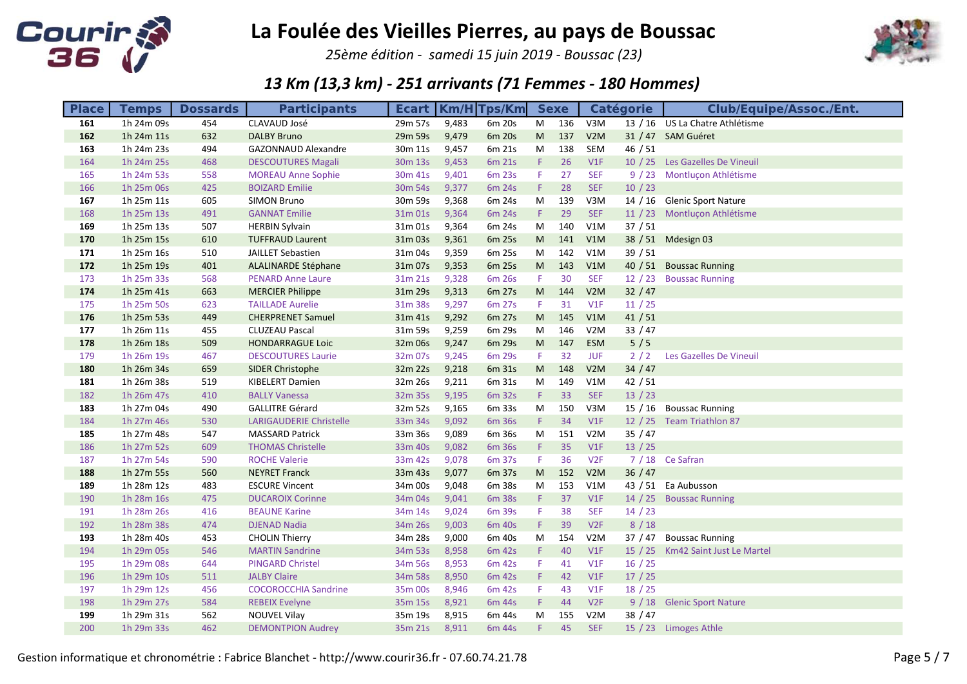

25ème édition - samedi 15 juin 2019 - Boussac (23)



| <b>Place</b> | <b>Temps</b> | <b>Dossards</b> | <b>Participants</b>            |         |       | <b>Ecart   Km/H Tps/Km</b> |                                                                                                            | <b>Sexe</b> |                  | <b>Catégorie</b> | <b>Club/Equipe/Assoc./Ent.</b>    |
|--------------|--------------|-----------------|--------------------------------|---------|-------|----------------------------|------------------------------------------------------------------------------------------------------------|-------------|------------------|------------------|-----------------------------------|
| 161          | 1h 24m 09s   | 454             | CLAVAUD José                   | 29m 57s | 9,483 | 6m 20s                     | M                                                                                                          | 136         | V3M              |                  | 13 / 16 US La Chatre Athlétisme   |
| 162          | 1h 24m 11s   | 632             | <b>DALBY Bruno</b>             | 29m 59s | 9,479 | 6m 20s                     | $\mathsf{M}% _{T}=\mathsf{M}_{T}\!\left( a,b\right) ,\ \mathsf{M}_{T}=\mathsf{M}_{T}\!\left( a,b\right) ,$ | 137         | V2M              |                  | 31 / 47 SAM Guéret                |
| 163          | 1h 24m 23s   | 494             | <b>GAZONNAUD Alexandre</b>     | 30m 11s | 9,457 | 6m 21s                     | M                                                                                                          | 138         | SEM              | 46/51            |                                   |
| 164          | 1h 24m 25s   | 468             | <b>DESCOUTURES Magali</b>      | 30m 13s | 9,453 | 6m 21s                     | F.                                                                                                         | 26          | V1F              |                  | 10 / 25 Les Gazelles De Vineuil   |
| 165          | 1h 24m 53s   | 558             | <b>MOREAU Anne Sophie</b>      | 30m 41s | 9,401 | 6m 23s                     | F                                                                                                          | 27          | <b>SEF</b>       |                  | 9 / 23 Montluçon Athlétisme       |
| 166          | 1h 25m 06s   | 425             | <b>BOIZARD Emilie</b>          | 30m 54s | 9,377 | 6m 24s                     | F.                                                                                                         | 28          | <b>SEF</b>       | 10/23            |                                   |
| 167          | 1h 25m 11s   | 605             | <b>SIMON Bruno</b>             | 30m 59s | 9,368 | 6m 24s                     | M                                                                                                          | 139         | V3M              |                  | 14 / 16 Glenic Sport Nature       |
| 168          | 1h 25m 13s   | 491             | <b>GANNAT Emilie</b>           | 31m 01s | 9,364 | 6m 24s                     | F.                                                                                                         | 29          | <b>SEF</b>       |                  | 11 / 23 Montluçon Athlétisme      |
| 169          | 1h 25m 13s   | 507             | <b>HERBIN Sylvain</b>          | 31m 01s | 9,364 | 6m 24s                     | M                                                                                                          | 140         | V1M              | 37/51            |                                   |
| 170          | 1h 25m 15s   | 610             | <b>TUFFRAUD Laurent</b>        | 31m 03s | 9,361 | 6m 25s                     | ${\sf M}$                                                                                                  | 141         | V1M              |                  | 38 / 51 Mdesign 03                |
| 171          | 1h 25m 16s   | 510             | JAILLET Sebastien              | 31m 04s | 9,359 | 6m 25s                     | M                                                                                                          | 142         | V1M              | 39/51            |                                   |
| 172          | 1h 25m 19s   | 401             | <b>ALALINARDE Stéphane</b>     | 31m 07s | 9,353 | 6m 25s                     | $\mathsf{M}% _{T}=\mathsf{M}_{T}\!\left( a,b\right) ,\ \mathsf{M}_{T}=\mathsf{M}_{T}\!\left( a,b\right) ,$ | 143         | V1M              |                  | 40 / 51 Boussac Running           |
| 173          | 1h 25m 33s   | 568             | <b>PENARD Anne Laure</b>       | 31m 21s | 9,328 | 6m 26s                     | F.                                                                                                         | 30          | <b>SEF</b>       | 12/23            | <b>Boussac Running</b>            |
| 174          | 1h 25m 41s   | 663             | <b>MERCIER Philippe</b>        | 31m 29s | 9,313 | 6m 27s                     | ${\sf M}$                                                                                                  | 144         | V2M              | 32 / 47          |                                   |
| 175          | 1h 25m 50s   | 623             | <b>TAILLADE Aurelie</b>        | 31m 38s | 9,297 | 6m 27s                     | F.                                                                                                         | 31          | V1F              | 11 / 25          |                                   |
| 176          | 1h 25m 53s   | 449             | <b>CHERPRENET Samuel</b>       | 31m 41s | 9,292 | 6m 27s                     | $\mathsf{M}% _{T}=\mathsf{M}_{T}\!\left( a,b\right) ,\ \mathsf{M}_{T}=\mathsf{M}_{T}\!\left( a,b\right) ,$ | 145         | V1M              | 41/51            |                                   |
| 177          | 1h 26m 11s   | 455             | <b>CLUZEAU Pascal</b>          | 31m 59s | 9,259 | 6m 29s                     | M                                                                                                          | 146         | V2M              | 33 / 47          |                                   |
| 178          | 1h 26m 18s   | 509             | <b>HONDARRAGUE Loic</b>        | 32m 06s | 9,247 | 6m 29s                     | $\mathsf{M}% _{T}=\mathsf{M}_{T}\!\left( a,b\right) ,\ \mathsf{M}_{T}=\mathsf{M}_{T}\!\left( a,b\right) ,$ | 147         | <b>ESM</b>       | 5/5              |                                   |
| 179          | 1h 26m 19s   | 467             | <b>DESCOUTURES Laurie</b>      | 32m 07s | 9,245 | 6m 29s                     | F.                                                                                                         | 32          | <b>JUF</b>       | 2/2              | Les Gazelles De Vineuil           |
| 180          | 1h 26m 34s   | 659             | <b>SIDER Christophe</b>        | 32m 22s | 9,218 | 6m 31s                     | M                                                                                                          | 148         | V2M              | 34 / 47          |                                   |
| 181          | 1h 26m 38s   | 519             | <b>KIBELERT Damien</b>         | 32m 26s | 9,211 | 6m 31s                     | M                                                                                                          | 149         | V1M              | 42/51            |                                   |
| 182          | 1h 26m 47s   | 410             | <b>BALLY Vanessa</b>           | 32m 35s | 9,195 | 6m 32s                     | F.                                                                                                         | 33          | <b>SEF</b>       | $13 / 23$        |                                   |
| 183          | 1h 27m 04s   | 490             | <b>GALLITRE Gérard</b>         | 32m 52s | 9,165 | 6m 33s                     | M                                                                                                          | 150         | V3M              | 15 / 16          | <b>Boussac Running</b>            |
| 184          | 1h 27m 46s   | 530             | <b>LARIGAUDERIE Christelle</b> | 33m 34s | 9,092 | 6m 36s                     | $\mathsf F$                                                                                                | 34          | V1F              |                  | 12 / 25 Team Triathlon 87         |
| 185          | 1h 27m 48s   | 547             | <b>MASSARD Patrick</b>         | 33m 36s | 9,089 | 6m 36s                     | M                                                                                                          | 151         | V2M              | 35/47            |                                   |
| 186          | 1h 27m 52s   | 609             | <b>THOMAS Christelle</b>       | 33m 40s | 9,082 | 6m 36s                     | F                                                                                                          | 35          | V1F              | 13 / 25          |                                   |
| 187          | 1h 27m 54s   | 590             | <b>ROCHE Valerie</b>           | 33m 42s | 9,078 | 6m 37s                     | F                                                                                                          | 36          | V2F              |                  | 7 / 18 Ce Safran                  |
| 188          | 1h 27m 55s   | 560             | <b>NEYRET Franck</b>           | 33m 43s | 9,077 | 6m 37s                     | M                                                                                                          | 152         | V2M              | 36/47            |                                   |
| 189          | 1h 28m 12s   | 483             | <b>ESCURE Vincent</b>          | 34m 00s | 9,048 | 6m 38s                     | M                                                                                                          | 153         | V1M              |                  | 43 / 51 Ea Aubusson               |
| 190          | 1h 28m 16s   | 475             | <b>DUCAROIX Corinne</b>        | 34m 04s | 9,041 | 6m 38s                     | F.                                                                                                         | 37          | V1F              |                  | 14 / 25 Boussac Running           |
| 191          | 1h 28m 26s   | 416             | <b>BEAUNE Karine</b>           | 34m 14s | 9,024 | 6m 39s                     | F                                                                                                          | 38          | <b>SEF</b>       | 14/23            |                                   |
| 192          | 1h 28m 38s   | 474             | <b>DJENAD Nadia</b>            | 34m 26s | 9,003 | 6m 40s                     | $\mathsf F$                                                                                                | 39          | V2F              | 8/18             |                                   |
| 193          | 1h 28m 40s   | 453             | <b>CHOLIN Thierry</b>          | 34m 28s | 9,000 | 6m 40s                     | M                                                                                                          | 154         | V2M              | 37 / 47          | <b>Boussac Running</b>            |
| 194          | 1h 29m 05s   | 546             | <b>MARTIN Sandrine</b>         | 34m 53s | 8,958 | 6m 42s                     | F.                                                                                                         | 40          | V1F              |                  | 15 / 25 Km42 Saint Just Le Martel |
| 195          | 1h 29m 08s   | 644             | <b>PINGARD Christel</b>        | 34m 56s | 8,953 | 6m 42s                     | F                                                                                                          | 41          | V1F              | 16/25            |                                   |
| 196          | 1h 29m 10s   | 511             | <b>JALBY Claire</b>            | 34m 58s | 8,950 | 6m 42s                     | F.                                                                                                         | 42          | V1F              | $17/25$          |                                   |
| 197          | 1h 29m 12s   | 456             | <b>COCOROCCHIA Sandrine</b>    | 35m 00s | 8,946 | 6m 42s                     | F.                                                                                                         | 43          | V1F              | 18/25            |                                   |
| 198          | 1h 29m 27s   | 584             | <b>REBEIX Evelyne</b>          | 35m 15s | 8,921 | 6m 44s                     | F.                                                                                                         | 44          | V2F              |                  | 9 / 18 Glenic Sport Nature        |
| 199          | 1h 29m 31s   | 562             | <b>NOUVEL Vilay</b>            | 35m 19s | 8,915 | 6m 44s                     | M                                                                                                          | 155         | V <sub>2</sub> M | 38/47            |                                   |
| 200          | 1h 29m 33s   | 462             | <b>DEMONTPION Audrey</b>       | 35m 21s | 8,911 | 6m 44s                     | F.                                                                                                         | 45          | <b>SEF</b>       |                  | 15 / 23 Limoges Athle             |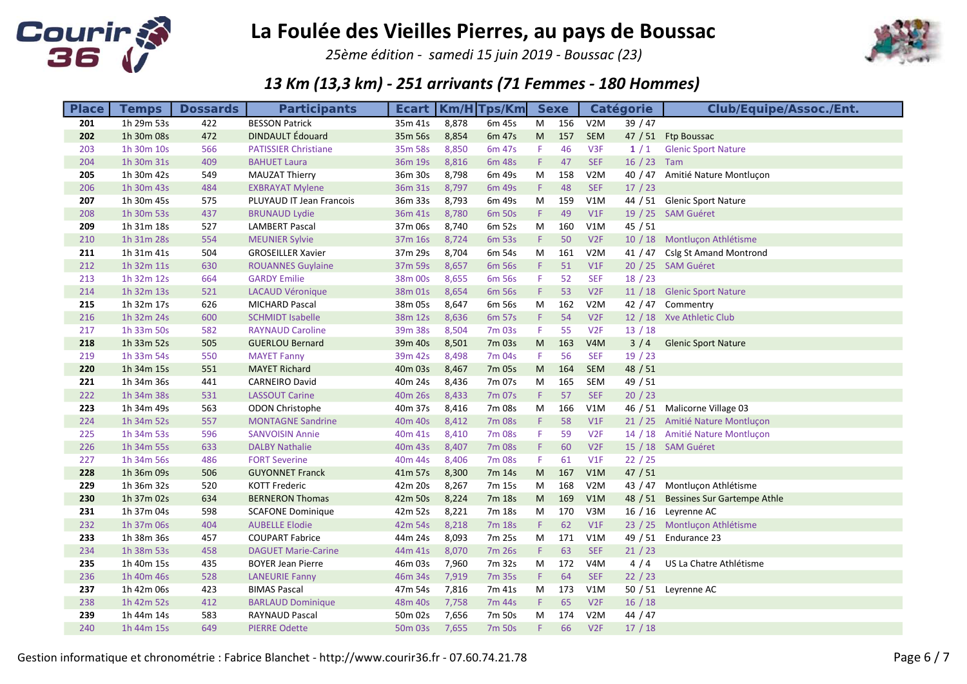

25ème édition - samedi 15 juin 2019 - Boussac (23)



| <b>Place</b> | <b>Temps</b> | <b>Dossards</b> | <b>Participants</b>         | <b>Ecart</b>                    |       | $Km/H$ Tps/Km |           | <b>Sexe</b> |                  | <b>Catégorie</b> | <b>Club/Equipe/Assoc./Ent.</b>      |
|--------------|--------------|-----------------|-----------------------------|---------------------------------|-------|---------------|-----------|-------------|------------------|------------------|-------------------------------------|
| 201          | 1h 29m 53s   | 422             | <b>BESSON Patrick</b>       | 35m 41s                         | 8,878 | 6m 45s        | M         | 156         | V <sub>2</sub> M | 39/47            |                                     |
| 202          | 1h 30m 08s   | 472             | <b>DINDAULT</b> Édouard     | 35m 56s                         | 8,854 | 6m 47s        | M         | 157         | <b>SEM</b>       |                  | 47 / 51 Ftp Boussac                 |
| 203          | 1h 30m 10s   | 566             | <b>PATISSIER Christiane</b> | 35m 58s                         | 8,850 | 6m 47s        | F.        | 46          | V <sub>3F</sub>  | 1/1              | <b>Glenic Sport Nature</b>          |
| 204          | 1h 30m 31s   | 409             | <b>BAHUET Laura</b>         | 36m 19s                         | 8,816 | 6m 48s        | F.        | 47          | <b>SEF</b>       | $16 / 23$ Tam    |                                     |
| 205          | 1h 30m 42s   | 549             | <b>MAUZAT Thierry</b>       | 36m 30s                         | 8,798 | 6m 49s        | M         | 158         | V2M              |                  | 40 / 47 Amitié Nature Montlucon     |
| 206          | 1h 30m 43s   | 484             | <b>EXBRAYAT Mylene</b>      | 36m 31s                         | 8,797 | 6m 49s        | F.        | 48          | <b>SEF</b>       | $17/23$          |                                     |
| 207          | 1h 30m 45s   | 575             | PLUYAUD IT Jean Francois    | 36m 33s                         | 8,793 | 6m 49s        | M         | 159         | V1M              |                  | 44 / 51 Glenic Sport Nature         |
| 208          | 1h 30m 53s   | 437             | <b>BRUNAUD Lydie</b>        | 36m 41s                         | 8,780 | 6m 50s        | F.        | 49          | V1F              |                  | 19 / 25 SAM Guéret                  |
| 209          | 1h 31m 18s   | 527             | <b>LAMBERT Pascal</b>       | 37m 06s                         | 8,740 | 6m 52s        | M         | 160         | V1M              | 45/51            |                                     |
| 210          | 1h 31m 28s   | 554             | <b>MEUNIER Sylvie</b>       | 37m 16s                         | 8,724 | 6m 53s        | F.        | 50          | V2F              |                  | 10 / 18 Montluçon Athlétisme        |
| 211          | 1h 31m 41s   | 504             | <b>GROSEILLER Xavier</b>    | 37m 29s                         | 8,704 | 6m 54s        | M         | 161         | V2M              | 41 / 47          | <b>Cslg St Amand Montrond</b>       |
| 212          | 1h 32m 11s   | 630             | <b>ROUANNES Guylaine</b>    | 37m 59s                         | 8,657 | 6m 56s        | F.        | 51          | V1F              |                  | 20 / 25 SAM Guéret                  |
| 213          | 1h 32m 12s   | 664             | <b>GARDY Emilie</b>         | 38m 00s                         | 8,655 | 6m 56s        | F         | 52          | <b>SEF</b>       | 18/23            |                                     |
| 214          | 1h 32m 13s   | 521             | <b>LACAUD Véronique</b>     | 38m 01s                         | 8,654 | 6m 56s        | F.        | 53          | V2F              |                  | 11 / 18 Glenic Sport Nature         |
| 215          | 1h 32m 17s   | 626             | <b>MICHARD Pascal</b>       | 38m 05s                         | 8,647 | 6m 56s        | M         | 162         | V <sub>2</sub> M |                  | 42 / 47 Commentry                   |
| 216          | 1h 32m 24s   | 600             | <b>SCHMIDT Isabelle</b>     | 38m 12s                         | 8,636 | 6m 57s        | F.        | 54          | V2F              |                  | 12 / 18 Xve Athletic Club           |
| 217          | 1h 33m 50s   | 582             | <b>RAYNAUD Caroline</b>     | 39m 38s                         | 8,504 | 7m 03s        | F.        | 55          | V <sub>2F</sub>  | 13/18            |                                     |
| 218          | 1h 33m 52s   | 505             | <b>GUERLOU Bernard</b>      | 39m 40s                         | 8,501 | 7m 03s        | M         | 163         | V4M              | $3/4$            | <b>Glenic Sport Nature</b>          |
| 219          | 1h 33m 54s   | 550             | <b>MAYET Fanny</b>          | 39m 42s                         | 8,498 | 7m 04s        | F.        | 56          | <b>SEF</b>       | 19/23            |                                     |
| 220          | 1h 34m 15s   | 551             | <b>MAYET Richard</b>        | 40m 03s                         | 8,467 | 7m 05s        | ${\sf M}$ | 164         | <b>SEM</b>       | 48 / 51          |                                     |
| 221          | 1h 34m 36s   | 441             | <b>CARNEIRO David</b>       | 40m 24s                         | 8,436 | 7m 07s        | ${\sf M}$ | 165         | SEM              | 49 / 51          |                                     |
| 222          | 1h 34m 38s   | 531             | <b>LASSOUT Carine</b>       | 40m 26s                         | 8,433 | 7m 07s        | F.        | 57          | <b>SEF</b>       | 20/23            |                                     |
| 223          | 1h 34m 49s   | 563             | <b>ODON Christophe</b>      | 40m 37s                         | 8,416 | 7m 08s        | M         | 166         | V1M              | 46 / 51          | Malicorne Village 03                |
| 224          | 1h 34m 52s   | 557             | <b>MONTAGNE Sandrine</b>    | 40 <sub>m</sub> 40 <sub>s</sub> | 8,412 | 7m 08s        | F.        | 58          | V1F              |                  | 21 / 25 Amitié Nature Montlucon     |
| 225          | 1h 34m 53s   | 596             | <b>SANVOISIN Annie</b>      | 40m 41s                         | 8,410 | 7m 08s        | F         | 59          | V2F              |                  | 14 / 18 Amitié Nature Montluçon     |
| 226          | 1h 34m 55s   | 633             | <b>DALBY Nathalie</b>       | 40m 43s                         | 8,407 | 7m 08s        | F         | 60          | V2F              |                  | 15 / 18 SAM Guéret                  |
| 227          | 1h 34m 56s   | 486             | <b>FORT Severine</b>        | 40m 44s                         | 8,406 | 7m 08s        | F.        | 61          | V1F              | 22 / 25          |                                     |
| 228          | 1h 36m 09s   | 506             | <b>GUYONNET Franck</b>      | 41m 57s                         | 8,300 | 7m 14s        | M         | 167         | V1M              | 47/51            |                                     |
| 229          | 1h 36m 32s   | 520             | <b>KOTT Frederic</b>        | 42m 20s                         | 8,267 | 7m 15s        | ${\sf M}$ | 168         | V2M              | 43 / 47          | Montluçon Athlétisme                |
| 230          | 1h 37m 02s   | 634             | <b>BERNERON Thomas</b>      | 42m 50s                         | 8,224 | 7m 18s        | M         | 169         | V1M              |                  | 48 / 51 Bessines Sur Gartempe Athle |
| 231          | 1h 37m 04s   | 598             | <b>SCAFONE Dominique</b>    | 42m 52s                         | 8,221 | 7m 18s        | M         | 170         | V3M              |                  | 16 / 16 Leyrenne AC                 |
| 232          | 1h 37m 06s   | 404             | <b>AUBELLE Elodie</b>       | 42m 54s                         | 8,218 | 7m 18s        | F         | 62          | V1F              |                  | 23 / 25 Montluçon Athlétisme        |
| 233          | 1h 38m 36s   | 457             | <b>COUPART Fabrice</b>      | 44m 24s                         | 8,093 | 7m 25s        | M         | 171         | V1M              |                  | 49 / 51 Endurance 23                |
| 234          | 1h 38m 53s   | 458             | <b>DAGUET Marie-Carine</b>  | 44m 41s                         | 8,070 | 7m 26s        | F.        | 63          | <b>SEF</b>       | 21 / 23          |                                     |
| 235          | 1h 40m 15s   | 435             | <b>BOYER Jean Pierre</b>    | 46m 03s                         | 7,960 | 7m 32s        | M         | 172         | V <sub>4</sub> M | 4/4              | US La Chatre Athlétisme             |
| 236          | 1h 40m 46s   | 528             | <b>LANEURIE Fanny</b>       | 46m 34s                         | 7,919 | 7m 35s        | F.        | 64          | <b>SEF</b>       | 22 / 23          |                                     |
| 237          | 1h 42m 06s   | 423             | <b>BIMAS Pascal</b>         | 47m 54s                         | 7,816 | 7m 41s        | M         | 173         | V1M              |                  | 50 / 51 Leyrenne AC                 |
| 238          | 1h 42m 52s   | 412             | <b>BARLAUD Dominique</b>    | 48m 40s                         | 7,758 | 7m 44s        | F.        | 65          | V2F              | 16/18            |                                     |
| 239          | 1h 44m 14s   | 583             | RAYNAUD Pascal              | 50m 02s                         | 7,656 | 7m 50s        | M         | 174         | V <sub>2</sub> M | 44 / 47          |                                     |
| 240          | 1h 44m 15s   | 649             | <b>PIERRE Odette</b>        | 50 <sub>m</sub> 03s             | 7,655 | 7m 50s        | F.        | 66          | V2F              | 17/18            |                                     |